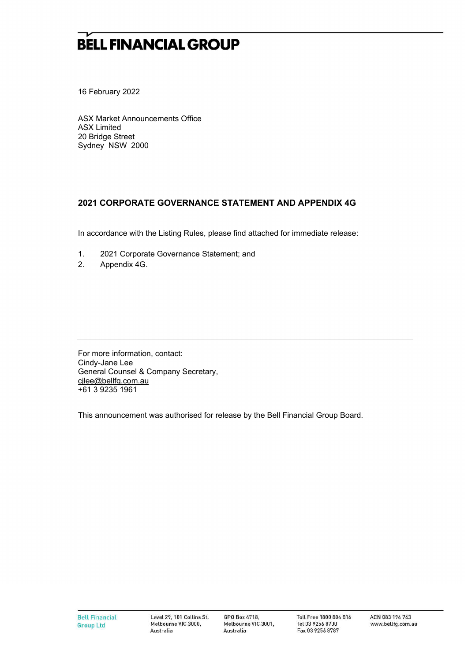## **BELL FINANCIAL GROUP**

16 February 2022

ASX Market Announcements Office ASX Limited 20 Bridge Street Sydney NSW 2000

#### **2021 CORPORATE GOVERNANCE STATEMENT AND APPENDIX 4G**

In accordance with the Listing Rules, please find attached for immediate release:

- 1. 2021 Corporate Governance Statement; and
- 2. Appendix 4G.

For more information, contact: Cindy-Jane Lee General Counsel & Company Secretary, cjlee@bellfg.com.au +61 3 9235 1961

This announcement was authorised for release by the Bell Financial Group Board.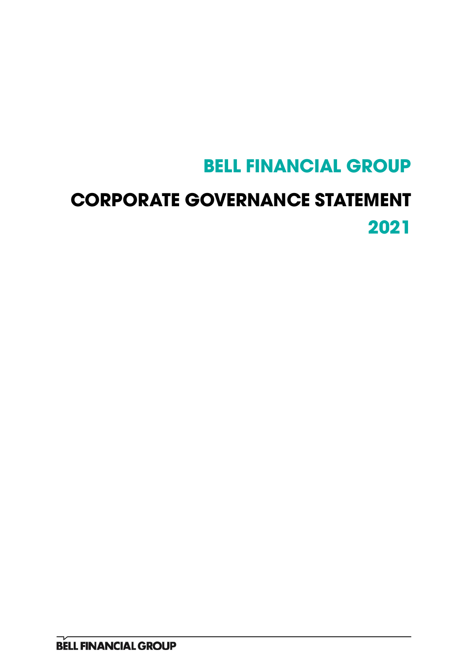# **BELL FINANCIAL GROUP**

# **CORPORATE GOVERNANCE STATEMENT 2021**

**BELL FINANCIAL GROUP**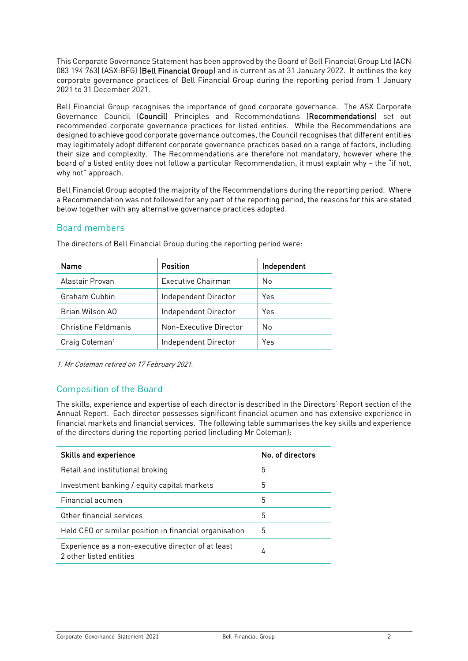This Corporate Governance Statement has been approved by the Board of Bell Financial Group Ltd (ACN 083 194 763) (ASX:BFG) (Bell Financial Group) and is current as at 31 January 2022. It outlines the key corporate governance practices of Bell Financial Group during the reporting period from 1 January 2021 to 31 December 2021.

Bell Financial Group recognises the importance of good corporate governance. The ASX Corporate Governance Council (Council) Principles and Recommendations (Recommendations) set out recommended corporate governance practices for listed entities. While the Recommendations are designed to achieve good corporate governance outcomes, the Council recognises that different entities may legitimately adopt different corporate governance practices based on a range of factors, including their size and complexity. The Recommendations are therefore not mandatory, however where the board of a listed entity does not follow a particular Recommendation, it must explain why – the "if not, why not" approach.

Bell Financial Group adopted the majority of the Recommendations during the reporting period. Where a Recommendation was not followed for any part of the reporting period, the reasons for this are stated below together with any alternative governance practices adopted.

#### Board members

| Name                       | Position                  | Independent |
|----------------------------|---------------------------|-------------|
| Alastair Provan            | <b>Executive Chairman</b> | No          |
| Graham Cubbin              | Independent Director      | Yes         |
| Brian Wilson AO            | Independent Director      | Yes         |
| Christine Feldmanis        | Non-Executive Director    | No          |
| Craig Coleman <sup>1</sup> | Independent Director      | Yes         |

The directors of Bell Financial Group during the reporting period were:

1. Mr Coleman retired on 17 February 2021.

#### Composition of the Board

The skills, experience and expertise of each director is described in the Directors' Report section of the Annual Report. Each director possesses significant financial acumen and has extensive experience in financial markets and financial services. The following table summarises the key skills and experience of the directors during the reporting period (including Mr Coleman):

| <b>Skills and experience</b>                                                  | No. of directors |
|-------------------------------------------------------------------------------|------------------|
| Retail and institutional broking                                              | 5                |
| Investment banking / equity capital markets                                   | 5                |
| Financial acumen                                                              | 5                |
| Other financial services                                                      | 5                |
| Held CEO or similar position in financial organisation                        | 5                |
| Experience as a non-executive director of at least<br>2 other listed entities | 4                |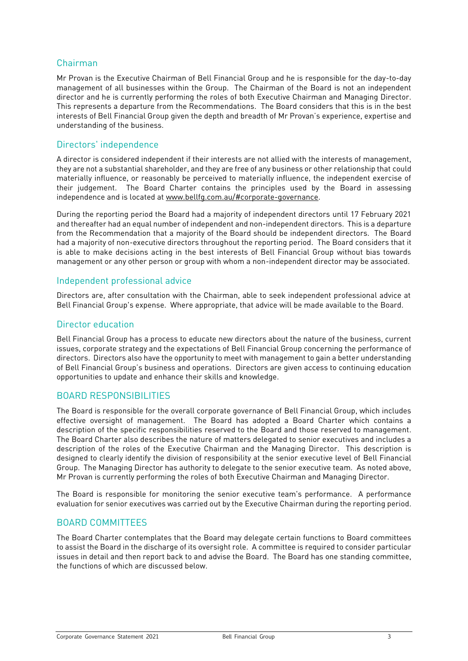#### Chairman

Mr Provan is the Executive Chairman of Bell Financial Group and he is responsible for the day-to-day management of all businesses within the Group. The Chairman of the Board is not an independent director and he is currently performing the roles of both Executive Chairman and Managing Director. This represents a departure from the Recommendations. The Board considers that this is in the best interests of Bell Financial Group given the depth and breadth of Mr Provan's experience, expertise and understanding of the business.

#### Directors' independence

A director is considered independent if their interests are not allied with the interests of management, they are not a substantial shareholder, and they are free of any business or other relationship that could materially influence, or reasonably be perceived to materially influence, the independent exercise of their judgement. The Board Charter contains the principles used by the Board in assessing independence and is located at [www.bellfg.com.au/#corporate-governance.](http://www.bellfg.com.au/#corporategovernance)

During the reporting period the Board had a majority of independent directors until 17 February 2021 and thereafter had an equal number of independent and non-independent directors. This is a departure from the Recommendation that a majority of the Board should be independent directors. The Board had a majority of non-executive directors throughout the reporting period. The Board considers that it is able to make decisions acting in the best interests of Bell Financial Group without bias towards management or any other person or group with whom a non-independent director may be associated.

#### Independent professional advice

Directors are, after consultation with the Chairman, able to seek independent professional advice at Bell Financial Group's expense. Where appropriate, that advice will be made available to the Board.

#### Director education

Bell Financial Group has a process to educate new directors about the nature of the business, current issues, corporate strategy and the expectations of Bell Financial Group concerning the performance of directors. Directors also have the opportunity to meet with management to gain a better understanding of Bell Financial Group's business and operations. Directors are given access to continuing education opportunities to update and enhance their skills and knowledge.

#### BOARD RESPONSIBILITIES

The Board is responsible for the overall corporate governance of Bell Financial Group, which includes effective oversight of management. The Board has adopted a Board Charter which contains a description of the specific responsibilities reserved to the Board and those reserved to management. The Board Charter also describes the nature of matters delegated to senior executives and includes a description of the roles of the Executive Chairman and the Managing Director. This description is designed to clearly identify the division of responsibility at the senior executive level of Bell Financial Group. The Managing Director has authority to delegate to the senior executive team. As noted above, Mr Provan is currently performing the roles of both Executive Chairman and Managing Director.

The Board is responsible for monitoring the senior executive team's performance. A performance evaluation for senior executives was carried out by the Executive Chairman during the reporting period.

#### BOARD COMMITTEES

The Board Charter contemplates that the Board may delegate certain functions to Board committees to assist the Board in the discharge of its oversight role. A committee is required to consider particular issues in detail and then report back to and advise the Board. The Board has one standing committee, the functions of which are discussed below.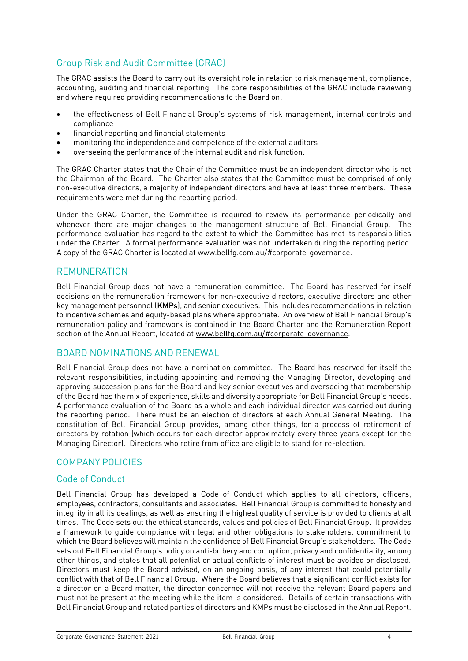#### Group Risk and Audit Committee (GRAC)

The GRAC assists the Board to carry out its oversight role in relation to risk management, compliance, accounting, auditing and financial reporting. The core responsibilities of the GRAC include reviewing and where required providing recommendations to the Board on:

- the effectiveness of Bell Financial Group's systems of risk management, internal controls and compliance
- financial reporting and financial statements
- monitoring the independence and competence of the external auditors
- overseeing the performance of the internal audit and risk function.

The GRAC Charter states that the Chair of the Committee must be an independent director who is not the Chairman of the Board. The Charter also states that the Committee must be comprised of only non-executive directors, a majority of independent directors and have at least three members. These requirements were met during the reporting period.

Under the GRAC Charter, the Committee is required to review its performance periodically and whenever there are major changes to the management structure of Bell Financial Group. The performance evaluation has regard to the extent to which the Committee has met its responsibilities under the Charter. A formal performance evaluation was not undertaken during the reporting period. A copy of the GRAC Charter is located a[t www.bellfg.com.au/#corporate-governance.](http://www.bellfg.com.au/#corporate-governance)

#### REMUNERATION

Bell Financial Group does not have a remuneration committee. The Board has reserved for itself decisions on the remuneration framework for non-executive directors, executive directors and other key management personnel (KMPs), and senior executives. This includes recommendations in relation to incentive schemes and equity-based plans where appropriate. An overview of Bell Financial Group's remuneration policy and framework is contained in the Board Charter and the Remuneration Report section of the Annual Report, located at [www.bellfg.com.au/#corporate-governance.](http://www.bellfg.com.au/#corporategovernance)

#### BOARD NOMINATIONS AND RENEWAL

Bell Financial Group does not have a nomination committee. The Board has reserved for itself the relevant responsibilities, including appointing and removing the Managing Director, developing and approving succession plans for the Board and key senior executives and overseeing that membership of the Board has the mix of experience, skills and diversity appropriate for Bell Financial Group's needs. A performance evaluation of the Board as a whole and each individual director was carried out during the reporting period. There must be an election of directors at each Annual General Meeting. The constitution of Bell Financial Group provides, among other things, for a process of retirement of directors by rotation (which occurs for each director approximately every three years except for the Managing Director). Directors who retire from office are eligible to stand for re-election.

#### COMPANY POLICIES

#### Code of Conduct

Bell Financial Group has developed a Code of Conduct which applies to all directors, officers, employees, contractors, consultants and associates. Bell Financial Group is committed to honesty and integrity in all its dealings, as well as ensuring the highest quality of service is provided to clients at all times. The Code sets out the ethical standards, values and policies of Bell Financial Group. It provides a framework to guide compliance with legal and other obligations to stakeholders, commitment to which the Board believes will maintain the confidence of Bell Financial Group's stakeholders. The Code sets out Bell Financial Group's policy on anti-bribery and corruption, privacy and confidentiality, among other things, and states that all potential or actual conflicts of interest must be avoided or disclosed. Directors must keep the Board advised, on an ongoing basis, of any interest that could potentially conflict with that of Bell Financial Group. Where the Board believes that a significant conflict exists for a director on a Board matter, the director concerned will not receive the relevant Board papers and must not be present at the meeting while the item is considered. Details of certain transactions with Bell Financial Group and related parties of directors and KMPs must be disclosed in the Annual Report.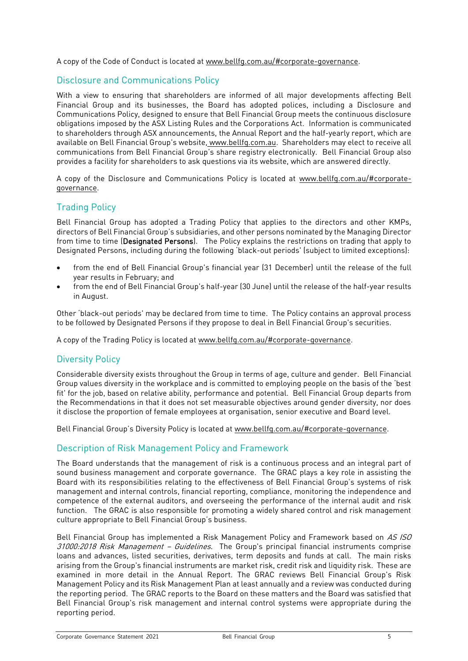A copy of the Code of Conduct is located at [www.bellfg.com.au/#corporate-governance.](http://www.bellfg.com.au/#corporategovernance)

#### Disclosure and Communications Policy

With a view to ensuring that shareholders are informed of all major developments affecting Bell Financial Group and its businesses, the Board has adopted polices, including a Disclosure and Communications Policy, designed to ensure that Bell Financial Group meets the continuous disclosure obligations imposed by the ASX Listing Rules and the Corporations Act. Information is communicated to shareholders through ASX announcements, the Annual Report and the half-yearly report, which are available on Bell Financial Group's website, [www.bellfg.com.au.](http://www.bellfg.com.au/) Shareholders may elect to receive all communications from Bell Financial Group's share registry electronically. Bell Financial Group also provides a facility for shareholders to ask questions via its website, which are answered directly.

A copy of the Disclosure and Communications Policy is located at [www.bellfg.com.au/#corporate](http://www.bellfg.com.au/#corporategovernance)[governance.](http://www.bellfg.com.au/#corporategovernance)

#### Trading Policy

Bell Financial Group has adopted a Trading Policy that applies to the directors and other KMPs, directors of Bell Financial Group's subsidiaries, and other persons nominated by the Managing Director from time to time (Designated Persons). The Policy explains the restrictions on trading that apply to Designated Persons, including during the following 'black-out periods' (subject to limited exceptions):

- from the end of Bell Financial Group's financial year (31 December) until the release of the full year results in February; and
- from the end of Bell Financial Group's half-year (30 June) until the release of the half-year results in August.

Other 'black-out periods' may be declared from time to time. The Policy contains an approval process to be followed by Designated Persons if they propose to deal in Bell Financial Group's securities.

A copy of the Trading Policy is located at [www.bellfg.com.au/#corporate-governance.](http://www.bellfg.com.au/#corporategovernance)

#### Diversity Policy

Considerable diversity exists throughout the Group in terms of age, culture and gender. Bell Financial Group values diversity in the workplace and is committed to employing people on the basis of the 'best fit' for the job, based on relative ability, performance and potential. Bell Financial Group departs from the Recommendations in that it does not set measurable objectives around gender diversity, nor does it disclose the proportion of female employees at organisation, senior executive and Board level.

Bell Financial Group's Diversity Policy is located at [www.bellfg.com.au/#corporate-governance.](http://www.bellfg.com.au/#corporategovernance)

#### Description of Risk Management Policy and Framework

The Board understands that the management of risk is a continuous process and an integral part of sound business management and corporate governance. The GRAC plays a key role in assisting the Board with its responsibilities relating to the effectiveness of Bell Financial Group's systems of risk management and internal controls, financial reporting, compliance, monitoring the independence and competence of the external auditors, and overseeing the performance of the internal audit and risk function. The GRAC is also responsible for promoting a widely shared control and risk management culture appropriate to Bell Financial Group's business.

Bell Financial Group has implemented a Risk Management Policy and Framework based on AS ISO 31000:2018 Risk Management - Guidelines. The Group's principal financial instruments comprise loans and advances, listed securities, derivatives, term deposits and funds at call. The main risks arising from the Group's financial instruments are market risk, credit risk and liquidity risk. These are examined in more detail in the Annual Report. The GRAC reviews Bell Financial Group's Risk Management Policy and its Risk Management Plan at least annually and a review was conducted during the reporting period. The GRAC reports to the Board on these matters and the Board was satisfied that Bell Financial Group's risk management and internal control systems were appropriate during the reporting period.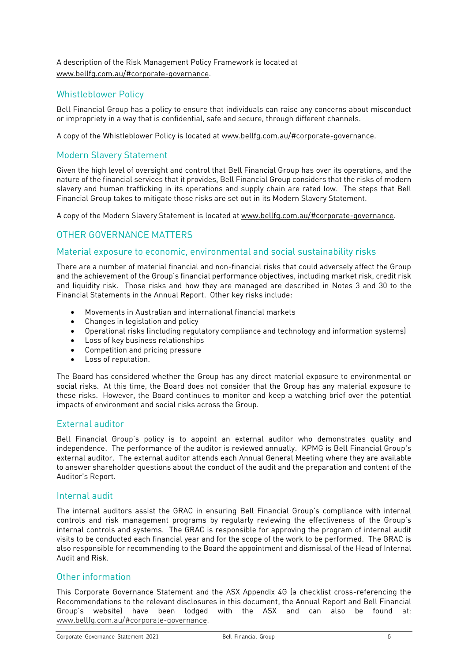A description of the Risk Management Policy Framework is located at [www.bellfg.com.au/#corporate-governance.](http://www.bellfg.com.au/#corporate-governance)

#### Whistleblower Policy

Bell Financial Group has a policy to ensure that individuals can raise any concerns about misconduct or impropriety in a way that is confidential, safe and secure, through different channels.

A copy of the Whistleblower Policy is located at [www.bellfg.com.au/#corporate-governance.](http://www.bellfg.com.au/#corporategovernance)

#### Modern Slavery Statement

Given the high level of oversight and control that Bell Financial Group has over its operations, and the nature of the financial services that it provides, Bell Financial Group considers that the risks of modern slavery and human trafficking in its operations and supply chain are rated low. The steps that Bell Financial Group takes to mitigate those risks are set out in its Modern Slavery Statement.

A copy of the Modern Slavery Statement is located at [www.bellfg.com.au/#corporate-governance.](http://www.bellfg.com.au/#corporategovernance)

#### OTHER GOVERNANCE MATTERS

#### Material exposure to economic, environmental and social sustainability risks

There are a number of material financial and non-financial risks that could adversely affect the Group and the achievement of the Group's financial performance objectives, including market risk, credit risk and liquidity risk. Those risks and how they are managed are described in Notes 3 and 30 to the Financial Statements in the Annual Report. Other key risks include:

- Movements in Australian and international financial markets
- Changes in legislation and policy
- Operational risks (including regulatory compliance and technology and information systems)
- Loss of key business relationships
- Competition and pricing pressure
- Loss of reputation.

The Board has considered whether the Group has any direct material exposure to environmental or social risks. At this time, the Board does not consider that the Group has any material exposure to these risks. However, the Board continues to monitor and keep a watching brief over the potential impacts of environment and social risks across the Group.

#### External auditor

Bell Financial Group's policy is to appoint an external auditor who demonstrates quality and independence. The performance of the auditor is reviewed annually. KPMG is Bell Financial Group's external auditor. The external auditor attends each Annual General Meeting where they are available to answer shareholder questions about the conduct of the audit and the preparation and content of the Auditor's Report.

#### Internal audit

The internal auditors assist the GRAC in ensuring Bell Financial Group's compliance with internal controls and risk management programs by regularly reviewing the effectiveness of the Group's internal controls and systems. The GRAC is responsible for approving the program of internal audit visits to be conducted each financial year and for the scope of the work to be performed. The GRAC is also responsible for recommending to the Board the appointment and dismissal of the Head of Internal Audit and Risk.

#### Other information

This Corporate Governance Statement and the ASX Appendix 4G (a checklist cross-referencing the Recommendations to the relevant disclosures in this document, the Annual Report and Bell Financial Group's website) have been lodged with the ASX and can also be found at: [www.bellfg.com.au/#corporate-governance.](http://www.bellfg.com.au/#corporate-governance)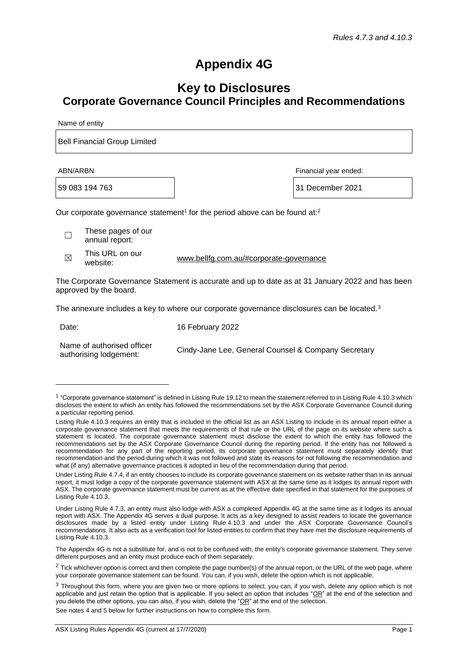### **Appendix 4G**

### **Key to Disclosures Corporate Governance Council Principles and Recommendations**

Name of entity

Bell Financial Group Limited

59 083 194 763 31 December 2021

ABN/ARBN Financial year ended:

Our corporate governance statement<sup>1</sup> for the period above can be found at:<sup>2</sup>

☐ These pages of our annual report:

 $\boxtimes$ This URL on our

[www.bellfg.com.au/#corporate-governance](http://www.bellfg.com.au/#corporate-governance)<br>website:

The Corporate Governance Statement is accurate and up to date as at 31 January 2022 and has been approved by the board.

The annexure includes a key to where our corporate governance disclosures can be located.<sup>3</sup>

| Date:                                                | 16 February 2022                                    |
|------------------------------------------------------|-----------------------------------------------------|
| Name of authorised officer<br>authorising lodgement: | Cindy-Jane Lee, General Counsel & Company Secretary |

See notes 4 and 5 below for further instructions on how to complete this form.

<sup>&</sup>lt;sup>1</sup> "Corporate governance statement" is defined in Listing Rule 19.12 to mean the statement referred to in Listing Rule 4.10.3 which discloses the extent to which an entity has followed the recommendations set by the ASX Corporate Governance Council during a particular reporting period.

Listing Rule 4.10.3 requires an entity that is included in the official list as an ASX Listing to include in its annual report either a corporate governance statement that meets the requirements of that rule or the URL of the page on its website where such a statement is located. The corporate governance statement must disclose the extent to which the entity has followed the recommendations set by the ASX Corporate Governance Council during the reporting period. If the entity has not followed a recommendation for any part of the reporting period, its corporate governance statement must separately identify that recommendation and the period during which it was not followed and state its reasons for not following the recommendation and what (if any) alternative governance practices it adopted in lieu of the recommendation during that period.

Under Listing Rule 4.7.4, if an entity chooses to include its corporate governance statement on its website rather than in its annual report, it must lodge a copy of the corporate governance statement with ASX at the same time as it lodges its annual report with ASX. The corporate governance statement must be current as at the effective date specified in that statement for the purposes of Listing Rule 4.10.3.

Under Listing Rule 4.7.3, an entity must also lodge with ASX a completed Appendix 4G at the same time as it lodges its annual report with ASX. The Appendix 4G serves a dual purpose. It acts as a key designed to assist readers to locate the governance disclosures made by a listed entity under Listing Rule 4.10.3 and under the ASX Corporate Governance Council's recommendations. It also acts as a verification tool for listed entities to confirm that they have met the disclosure requirements of Listing Rule 4.10.3.

The Appendix 4G is not a substitute for, and is not to be confused with, the entity's corporate governance statement. They serve different purposes and an entity must produce each of them separately.

<sup>&</sup>lt;sup>2</sup> Tick whichever option is correct and then complete the page number(s) of the annual report, or the URL of the web page, where your corporate governance statement can be found. You can, if you wish, delete the option which is not applicable.

<sup>&</sup>lt;sup>3</sup> Throughout this form, where you are given two or more options to select, you can, if you wish, delete any option which is not applicable and just retain the option that is applicable. If you select an option that includes " $OR$ " at the end of the selection and you delete the other options, you can also, if you wish, delete the "OR" at the end of the selection.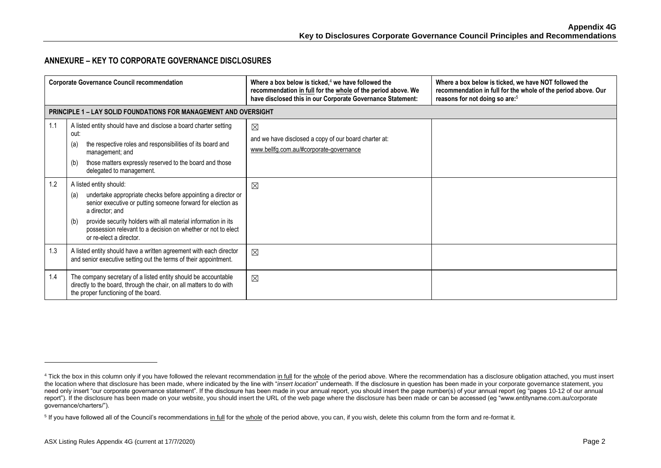#### **ANNEXURE – KEY TO CORPORATE GOVERNANCE DISCLOSURES**

|     | <b>Corporate Governance Council recommendation</b>                                                                                                                                                                                                                                                                                                  | Where a box below is ticked, $4$ we have followed the<br>recommendation in full for the whole of the period above. We<br>have disclosed this in our Corporate Governance Statement: | Where a box below is ticked, we have NOT followed the<br>recommendation in full for the whole of the period above. Our<br>reasons for not doing so are: <sup>5</sup> |
|-----|-----------------------------------------------------------------------------------------------------------------------------------------------------------------------------------------------------------------------------------------------------------------------------------------------------------------------------------------------------|-------------------------------------------------------------------------------------------------------------------------------------------------------------------------------------|----------------------------------------------------------------------------------------------------------------------------------------------------------------------|
|     | <b>PRINCIPLE 1 – LAY SOLID FOUNDATIONS FOR MANAGEMENT AND OVERSIGHT</b>                                                                                                                                                                                                                                                                             |                                                                                                                                                                                     |                                                                                                                                                                      |
| 1.1 | A listed entity should have and disclose a board charter setting<br>out:<br>the respective roles and responsibilities of its board and<br>(a)<br>management; and<br>those matters expressly reserved to the board and those<br>(b)<br>delegated to management.                                                                                      | $\boxtimes$<br>and we have disclosed a copy of our board charter at:<br>www.bellfg.com.au/#corporate-governance                                                                     |                                                                                                                                                                      |
| 1.2 | A listed entity should:<br>undertake appropriate checks before appointing a director or<br>(a)<br>senior executive or putting someone forward for election as<br>a director; and<br>provide security holders with all material information in its<br>(b)<br>possession relevant to a decision on whether or not to elect<br>or re-elect a director. | ⊠                                                                                                                                                                                   |                                                                                                                                                                      |
| 1.3 | A listed entity should have a written agreement with each director<br>and senior executive setting out the terms of their appointment.                                                                                                                                                                                                              | $\boxtimes$                                                                                                                                                                         |                                                                                                                                                                      |
| 1.4 | The company secretary of a listed entity should be accountable<br>directly to the board, through the chair, on all matters to do with<br>the proper functioning of the board.                                                                                                                                                                       | $\boxtimes$                                                                                                                                                                         |                                                                                                                                                                      |

<sup>&</sup>lt;sup>4</sup> Tick the box in this column only if you have followed the relevant recommendation in full for the whole of the period above. Where the recommendation has a disclosure obligation attached, you must insert the location where that disclosure has been made, where indicated by the line with "*insert location*" underneath. If the disclosure in question has been made in your corporate governance statement, you need only insert "our corporate governance statement". If the disclosure has been made in your annual report, you should insert the page number(s) of your annual report (eg "pages 10-12 of our annual report"). If the disclosure has been made on your website, you should insert the URL of the web page where the disclosure has been made or can be accessed (eg "www.entityname.com.au/corporate governance/charters/").

<sup>&</sup>lt;sup>5</sup> If you have followed all of the Council's recommendations in full for the whole of the period above, you can, if you wish, delete this column from the form and re-format it.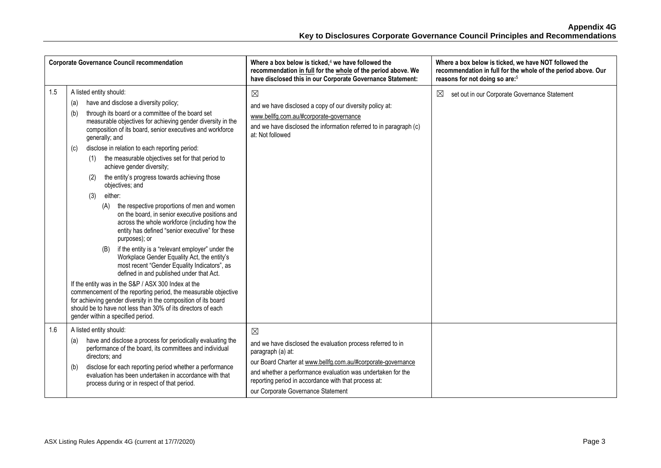|     | <b>Corporate Governance Council recommendation</b>                                                                                                                                                                                                                                                                                                                                                                                                                                                                                                                                                                                                                                                                                                                                                                                                                                                                                                                                                                                                                                                                                                                                                                                                           | Where a box below is ticked, $4$ we have followed the<br>recommendation in full for the whole of the period above. We<br>have disclosed this in our Corporate Governance Statement:                                                                                                                                          | Where a box below is ticked, we have NOT followed the<br>recommendation in full for the whole of the period above. Our<br>reasons for not doing so are: <sup>5</sup> |
|-----|--------------------------------------------------------------------------------------------------------------------------------------------------------------------------------------------------------------------------------------------------------------------------------------------------------------------------------------------------------------------------------------------------------------------------------------------------------------------------------------------------------------------------------------------------------------------------------------------------------------------------------------------------------------------------------------------------------------------------------------------------------------------------------------------------------------------------------------------------------------------------------------------------------------------------------------------------------------------------------------------------------------------------------------------------------------------------------------------------------------------------------------------------------------------------------------------------------------------------------------------------------------|------------------------------------------------------------------------------------------------------------------------------------------------------------------------------------------------------------------------------------------------------------------------------------------------------------------------------|----------------------------------------------------------------------------------------------------------------------------------------------------------------------|
| 1.5 | A listed entity should:<br>have and disclose a diversity policy;<br>(a)<br>through its board or a committee of the board set<br>(b)<br>measurable objectives for achieving gender diversity in the<br>composition of its board, senior executives and workforce<br>generally; and<br>disclose in relation to each reporting period:<br>(c)<br>the measurable objectives set for that period to<br>(1)<br>achieve gender diversity;<br>the entity's progress towards achieving those<br>(2)<br>objectives; and<br>either:<br>(3)<br>the respective proportions of men and women<br>(A)<br>on the board, in senior executive positions and<br>across the whole workforce (including how the<br>entity has defined "senior executive" for these<br>purposes); or<br>if the entity is a "relevant employer" under the<br>Workplace Gender Equality Act, the entity's<br>most recent "Gender Equality Indicators", as<br>defined in and published under that Act.<br>If the entity was in the S&P / ASX 300 Index at the<br>commencement of the reporting period, the measurable objective<br>for achieving gender diversity in the composition of its board<br>should be to have not less than 30% of its directors of each<br>gender within a specified period. | $\boxtimes$<br>and we have disclosed a copy of our diversity policy at:<br>www.bellfg.com.au/#corporate-governance<br>and we have disclosed the information referred to in paragraph (c)<br>at: Not followed                                                                                                                 | set out in our Corporate Governance Statement<br>$\boxtimes$                                                                                                         |
| 1.6 | A listed entity should:<br>have and disclose a process for periodically evaluating the<br>(a)<br>performance of the board, its committees and individual<br>directors; and<br>disclose for each reporting period whether a performance<br>(b)<br>evaluation has been undertaken in accordance with that<br>process during or in respect of that period.                                                                                                                                                                                                                                                                                                                                                                                                                                                                                                                                                                                                                                                                                                                                                                                                                                                                                                      | $\boxtimes$<br>and we have disclosed the evaluation process referred to in<br>paragraph (a) at:<br>our Board Charter at www.bellfg.com.au/#corporate-governance<br>and whether a performance evaluation was undertaken for the<br>reporting period in accordance with that process at:<br>our Corporate Governance Statement |                                                                                                                                                                      |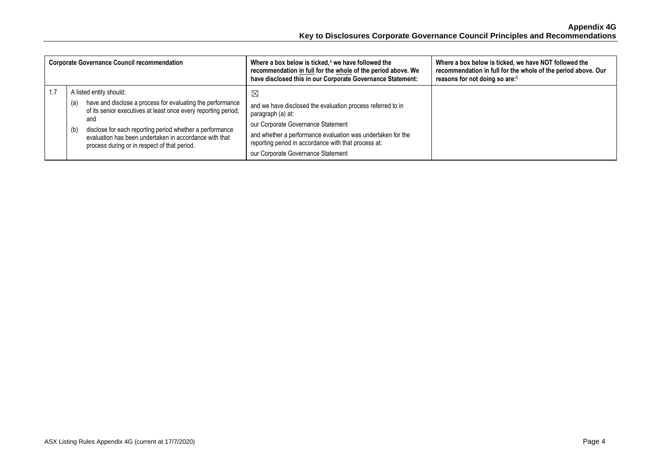| <b>Corporate Governance Council recommendation</b>                                                                                                                                                                                                                                                                                                 | Where a box below is ticked, $4$ we have followed the<br>recommendation in full for the whole of the period above. We<br>have disclosed this in our Corporate Governance Statement:                                                                                                                | Where a box below is ticked, we have NOT followed the<br>recommendation in full for the whole of the period above. Our<br>reasons for not doing so are: <sup>5</sup> |
|----------------------------------------------------------------------------------------------------------------------------------------------------------------------------------------------------------------------------------------------------------------------------------------------------------------------------------------------------|----------------------------------------------------------------------------------------------------------------------------------------------------------------------------------------------------------------------------------------------------------------------------------------------------|----------------------------------------------------------------------------------------------------------------------------------------------------------------------|
| A listed entity should:<br>have and disclose a process for evaluating the performance<br>(a)<br>of its senior executives at least once every reporting period;<br>and<br>disclose for each reporting period whether a performance<br>(b)<br>evaluation has been undertaken in accordance with that<br>process during or in respect of that period. | $\boxtimes$<br>and we have disclosed the evaluation process referred to in<br>paragraph (a) at:<br>our Corporate Governance Statement<br>and whether a performance evaluation was undertaken for the<br>reporting period in accordance with that process at:<br>our Corporate Governance Statement |                                                                                                                                                                      |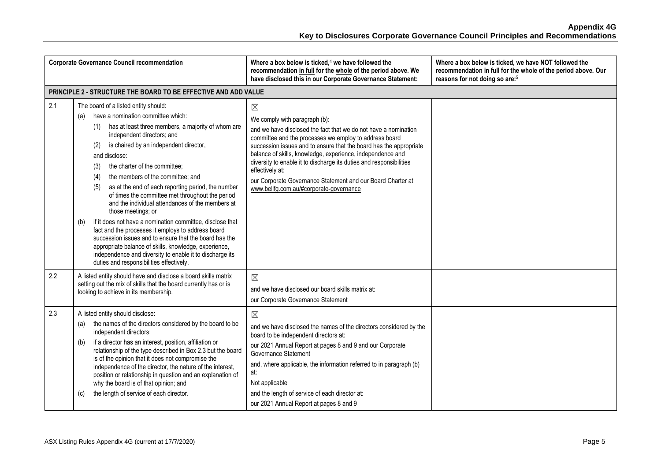|     | <b>Corporate Governance Council recommendation</b>                                                                                                                                                                                                                                                                                                                                                                                                                                                                                                                                                                                                                                                                                                                                                                                                                                 | Where a box below is ticked, $4$ we have followed the<br>recommendation in full for the whole of the period above. We<br>have disclosed this in our Corporate Governance Statement:                                                                                                                                                                                                                                                                                                                               | Where a box below is ticked, we have NOT followed the<br>recommendation in full for the whole of the period above. Our<br>reasons for not doing so are: <sup>5</sup> |
|-----|------------------------------------------------------------------------------------------------------------------------------------------------------------------------------------------------------------------------------------------------------------------------------------------------------------------------------------------------------------------------------------------------------------------------------------------------------------------------------------------------------------------------------------------------------------------------------------------------------------------------------------------------------------------------------------------------------------------------------------------------------------------------------------------------------------------------------------------------------------------------------------|-------------------------------------------------------------------------------------------------------------------------------------------------------------------------------------------------------------------------------------------------------------------------------------------------------------------------------------------------------------------------------------------------------------------------------------------------------------------------------------------------------------------|----------------------------------------------------------------------------------------------------------------------------------------------------------------------|
|     | PRINCIPLE 2 - STRUCTURE THE BOARD TO BE EFFECTIVE AND ADD VALUE                                                                                                                                                                                                                                                                                                                                                                                                                                                                                                                                                                                                                                                                                                                                                                                                                    |                                                                                                                                                                                                                                                                                                                                                                                                                                                                                                                   |                                                                                                                                                                      |
| 2.1 | The board of a listed entity should:<br>have a nomination committee which:<br>(a)<br>has at least three members, a majority of whom are<br>(1)<br>independent directors; and<br>is chaired by an independent director,<br>(2)<br>and disclose:<br>the charter of the committee;<br>(3)<br>the members of the committee; and<br>(4)<br>as at the end of each reporting period, the number<br>(5)<br>of times the committee met throughout the period<br>and the individual attendances of the members at<br>those meetings; or<br>if it does not have a nomination committee, disclose that<br>(b)<br>fact and the processes it employs to address board<br>succession issues and to ensure that the board has the<br>appropriate balance of skills, knowledge, experience,<br>independence and diversity to enable it to discharge its<br>duties and responsibilities effectively. | $\boxtimes$<br>We comply with paragraph (b):<br>and we have disclosed the fact that we do not have a nomination<br>committee and the processes we employ to address board<br>succession issues and to ensure that the board has the appropriate<br>balance of skills, knowledge, experience, independence and<br>diversity to enable it to discharge its duties and responsibilities<br>effectively at:<br>our Corporate Governance Statement and our Board Charter at<br>www.bellfg.com.au/#corporate-governance |                                                                                                                                                                      |
| 2.2 | A listed entity should have and disclose a board skills matrix<br>setting out the mix of skills that the board currently has or is<br>looking to achieve in its membership.                                                                                                                                                                                                                                                                                                                                                                                                                                                                                                                                                                                                                                                                                                        | $\boxtimes$<br>and we have disclosed our board skills matrix at:<br>our Corporate Governance Statement                                                                                                                                                                                                                                                                                                                                                                                                            |                                                                                                                                                                      |
| 2.3 | A listed entity should disclose:<br>the names of the directors considered by the board to be<br>(a)<br>independent directors;<br>if a director has an interest, position, affiliation or<br>(b)<br>relationship of the type described in Box 2.3 but the board<br>is of the opinion that it does not compromise the<br>independence of the director, the nature of the interest,<br>position or relationship in question and an explanation of<br>why the board is of that opinion; and<br>the length of service of each director.<br>(c)                                                                                                                                                                                                                                                                                                                                          | $\boxtimes$<br>and we have disclosed the names of the directors considered by the<br>board to be independent directors at:<br>our 2021 Annual Report at pages 8 and 9 and our Corporate<br>Governance Statement<br>and, where applicable, the information referred to in paragraph (b)<br>at:<br>Not applicable<br>and the length of service of each director at:<br>our 2021 Annual Report at pages 8 and 9                                                                                                      |                                                                                                                                                                      |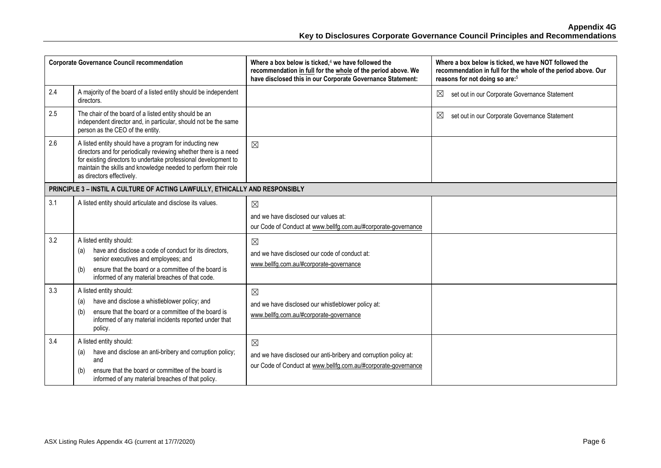|     | <b>Corporate Governance Council recommendation</b>                                                                                                                                                                                                                                            | Where a box below is ticked, $4$ we have followed the<br>recommendation in full for the whole of the period above. We<br>have disclosed this in our Corporate Governance Statement: | Where a box below is ticked, we have NOT followed the<br>recommendation in full for the whole of the period above. Our<br>reasons for not doing so are: <sup>5</sup> |
|-----|-----------------------------------------------------------------------------------------------------------------------------------------------------------------------------------------------------------------------------------------------------------------------------------------------|-------------------------------------------------------------------------------------------------------------------------------------------------------------------------------------|----------------------------------------------------------------------------------------------------------------------------------------------------------------------|
| 2.4 | A majority of the board of a listed entity should be independent<br>directors.                                                                                                                                                                                                                |                                                                                                                                                                                     | $\boxtimes$<br>set out in our Corporate Governance Statement                                                                                                         |
| 2.5 | The chair of the board of a listed entity should be an<br>independent director and, in particular, should not be the same<br>person as the CEO of the entity.                                                                                                                                 |                                                                                                                                                                                     | $\boxtimes$<br>set out in our Corporate Governance Statement                                                                                                         |
| 2.6 | A listed entity should have a program for inducting new<br>directors and for periodically reviewing whether there is a need<br>for existing directors to undertake professional development to<br>maintain the skills and knowledge needed to perform their role<br>as directors effectively. | $\boxtimes$                                                                                                                                                                         |                                                                                                                                                                      |
|     | PRINCIPLE 3 - INSTIL A CULTURE OF ACTING LAWFULLY, ETHICALLY AND RESPONSIBLY                                                                                                                                                                                                                  |                                                                                                                                                                                     |                                                                                                                                                                      |
| 3.1 | A listed entity should articulate and disclose its values.                                                                                                                                                                                                                                    | $\boxtimes$<br>and we have disclosed our values at:<br>our Code of Conduct at www.bellfg.com.au/#corporate-governance                                                               |                                                                                                                                                                      |
| 3.2 | A listed entity should:<br>have and disclose a code of conduct for its directors.<br>(a)<br>senior executives and employees; and<br>ensure that the board or a committee of the board is<br>(b)<br>informed of any material breaches of that code.                                            | $\boxtimes$<br>and we have disclosed our code of conduct at:<br>www.bellfg.com.au/#corporate-governance                                                                             |                                                                                                                                                                      |
| 3.3 | A listed entity should:<br>have and disclose a whistleblower policy; and<br>(a)<br>ensure that the board or a committee of the board is<br>(b)<br>informed of any material incidents reported under that<br>policy.                                                                           | $\boxtimes$<br>and we have disclosed our whistleblower policy at:<br>www.bellfg.com.au/#corporate-governance                                                                        |                                                                                                                                                                      |
| 3.4 | A listed entity should:<br>have and disclose an anti-bribery and corruption policy;<br>(a)<br>and<br>ensure that the board or committee of the board is<br>(b)<br>informed of any material breaches of that policy.                                                                           | $\boxtimes$<br>and we have disclosed our anti-bribery and corruption policy at:<br>our Code of Conduct at www.bellfg.com.au/#corporate-governance                                   |                                                                                                                                                                      |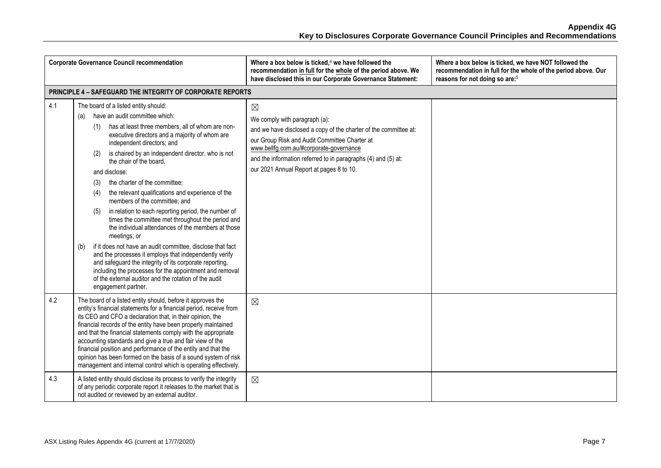|     | <b>Corporate Governance Council recommendation</b>                                                                                                                                                                                                                                                                                                                                                                                                                                                                                                                                                                                                                                                                                                                                                                                                                                                                                                                                                  | Where a box below is ticked, $4$ we have followed the<br>recommendation in full for the whole of the period above. We<br>have disclosed this in our Corporate Governance Statement:                                                                                                                                       | Where a box below is ticked, we have NOT followed the<br>recommendation in full for the whole of the period above. Our<br>reasons for not doing so are: <sup>5</sup> |
|-----|-----------------------------------------------------------------------------------------------------------------------------------------------------------------------------------------------------------------------------------------------------------------------------------------------------------------------------------------------------------------------------------------------------------------------------------------------------------------------------------------------------------------------------------------------------------------------------------------------------------------------------------------------------------------------------------------------------------------------------------------------------------------------------------------------------------------------------------------------------------------------------------------------------------------------------------------------------------------------------------------------------|---------------------------------------------------------------------------------------------------------------------------------------------------------------------------------------------------------------------------------------------------------------------------------------------------------------------------|----------------------------------------------------------------------------------------------------------------------------------------------------------------------|
|     | <b>PRINCIPLE 4 - SAFEGUARD THE INTEGRITY OF CORPORATE REPORTS</b>                                                                                                                                                                                                                                                                                                                                                                                                                                                                                                                                                                                                                                                                                                                                                                                                                                                                                                                                   |                                                                                                                                                                                                                                                                                                                           |                                                                                                                                                                      |
| 4.1 | The board of a listed entity should:<br>have an audit committee which:<br>(a)<br>has at least three members, all of whom are non-<br>(1)<br>executive directors and a majority of whom are<br>independent directors; and<br>is chaired by an independent director, who is not<br>(2)<br>the chair of the board.<br>and disclose:<br>the charter of the committee;<br>(3)<br>the relevant qualifications and experience of the<br>(4)<br>members of the committee; and<br>in relation to each reporting period, the number of<br>(5)<br>times the committee met throughout the period and<br>the individual attendances of the members at those<br>meetings; or<br>if it does not have an audit committee, disclose that fact<br>(b)<br>and the processes it employs that independently verify<br>and safeguard the integrity of its corporate reporting,<br>including the processes for the appointment and removal<br>of the external auditor and the rotation of the audit<br>engagement partner. | $\boxtimes$<br>We comply with paragraph (a):<br>and we have disclosed a copy of the charter of the committee at:<br>our Group Risk and Audit Committee Charter at<br>www.bellfg.com.au/#corporate-governance<br>and the information referred to in paragraphs (4) and (5) at:<br>our 2021 Annual Report at pages 8 to 10. |                                                                                                                                                                      |
| 4.2 | The board of a listed entity should, before it approves the<br>entity's financial statements for a financial period, receive from<br>its CEO and CFO a declaration that, in their opinion, the<br>financial records of the entity have been properly maintained<br>and that the financial statements comply with the appropriate<br>accounting standards and give a true and fair view of the<br>financial position and performance of the entity and that the<br>opinion has been formed on the basis of a sound system of risk<br>management and internal control which is operating effectively.                                                                                                                                                                                                                                                                                                                                                                                                 | $\boxtimes$                                                                                                                                                                                                                                                                                                               |                                                                                                                                                                      |
| 4.3 | A listed entity should disclose its process to verify the integrity<br>of any periodic corporate report it releases to the market that is<br>not audited or reviewed by an external auditor.                                                                                                                                                                                                                                                                                                                                                                                                                                                                                                                                                                                                                                                                                                                                                                                                        | $\boxtimes$                                                                                                                                                                                                                                                                                                               |                                                                                                                                                                      |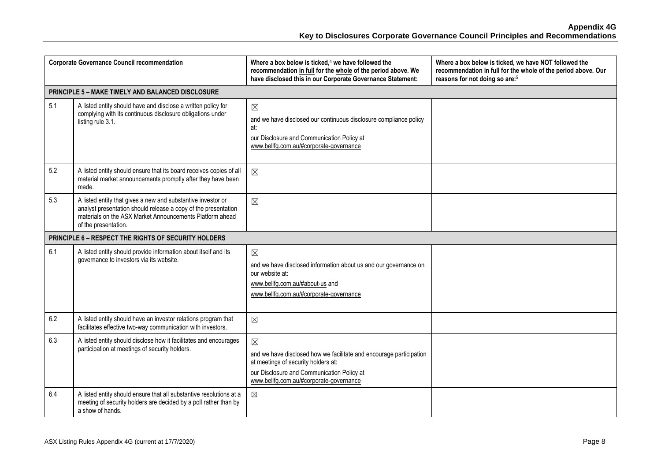|     | <b>Corporate Governance Council recommendation</b>                                                                                                                                                                 | Where a box below is ticked, <sup>4</sup> we have followed the<br>recommendation in full for the whole of the period above. We<br>have disclosed this in our Corporate Governance Statement:                       | Where a box below is ticked, we have NOT followed the<br>recommendation in full for the whole of the period above. Our<br>reasons for not doing so are: <sup>5</sup> |
|-----|--------------------------------------------------------------------------------------------------------------------------------------------------------------------------------------------------------------------|--------------------------------------------------------------------------------------------------------------------------------------------------------------------------------------------------------------------|----------------------------------------------------------------------------------------------------------------------------------------------------------------------|
|     | PRINCIPLE 5 - MAKE TIMELY AND BALANCED DISCLOSURE                                                                                                                                                                  |                                                                                                                                                                                                                    |                                                                                                                                                                      |
| 5.1 | A listed entity should have and disclose a written policy for<br>complying with its continuous disclosure obligations under<br>listing rule 3.1.                                                                   | $\boxtimes$<br>and we have disclosed our continuous disclosure compliance policy<br>at:<br>our Disclosure and Communication Policy at<br>www.bellfg.com.au/#corporate-governance                                   |                                                                                                                                                                      |
| 5.2 | A listed entity should ensure that its board receives copies of all<br>material market announcements promptly after they have been<br>made.                                                                        | $\boxtimes$                                                                                                                                                                                                        |                                                                                                                                                                      |
| 5.3 | A listed entity that gives a new and substantive investor or<br>analyst presentation should release a copy of the presentation<br>materials on the ASX Market Announcements Platform ahead<br>of the presentation. | $\boxtimes$                                                                                                                                                                                                        |                                                                                                                                                                      |
|     | <b>PRINCIPLE 6 - RESPECT THE RIGHTS OF SECURITY HOLDERS</b>                                                                                                                                                        |                                                                                                                                                                                                                    |                                                                                                                                                                      |
| 6.1 | A listed entity should provide information about itself and its<br>governance to investors via its website.                                                                                                        | $\boxtimes$<br>and we have disclosed information about us and our governance on<br>our website at:<br>www.bellfg.com.au/#about-us and<br>www.bellfg.com.au/#corporate-governance                                   |                                                                                                                                                                      |
| 6.2 | A listed entity should have an investor relations program that<br>facilitates effective two-way communication with investors.                                                                                      | $\boxtimes$                                                                                                                                                                                                        |                                                                                                                                                                      |
| 6.3 | A listed entity should disclose how it facilitates and encourages<br>participation at meetings of security holders.                                                                                                | $\boxtimes$<br>and we have disclosed how we facilitate and encourage participation<br>at meetings of security holders at:<br>our Disclosure and Communication Policy at<br>www.bellfg.com.au/#corporate-governance |                                                                                                                                                                      |
| 6.4 | A listed entity should ensure that all substantive resolutions at a<br>meeting of security holders are decided by a poll rather than by<br>a show of hands.                                                        | $\boxtimes$                                                                                                                                                                                                        |                                                                                                                                                                      |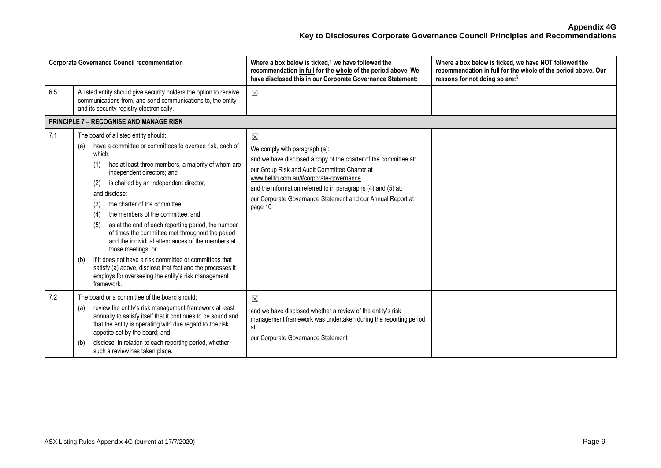|     | <b>Corporate Governance Council recommendation</b>                                                                                                                                                                                                                                                                                                                                                                                                                                                                                                                                                                                                                                                                                                                | Where a box below is ticked, $4$ we have followed the<br>recommendation in full for the whole of the period above. We<br>have disclosed this in our Corporate Governance Statement:                                                                                                                                                                     | Where a box below is ticked, we have NOT followed the<br>recommendation in full for the whole of the period above. Our<br>reasons for not doing so are: <sup>5</sup> |
|-----|-------------------------------------------------------------------------------------------------------------------------------------------------------------------------------------------------------------------------------------------------------------------------------------------------------------------------------------------------------------------------------------------------------------------------------------------------------------------------------------------------------------------------------------------------------------------------------------------------------------------------------------------------------------------------------------------------------------------------------------------------------------------|---------------------------------------------------------------------------------------------------------------------------------------------------------------------------------------------------------------------------------------------------------------------------------------------------------------------------------------------------------|----------------------------------------------------------------------------------------------------------------------------------------------------------------------|
| 6.5 | A listed entity should give security holders the option to receive<br>communications from, and send communications to, the entity<br>and its security registry electronically.                                                                                                                                                                                                                                                                                                                                                                                                                                                                                                                                                                                    | $\boxtimes$                                                                                                                                                                                                                                                                                                                                             |                                                                                                                                                                      |
|     | <b>PRINCIPLE 7 - RECOGNISE AND MANAGE RISK</b>                                                                                                                                                                                                                                                                                                                                                                                                                                                                                                                                                                                                                                                                                                                    |                                                                                                                                                                                                                                                                                                                                                         |                                                                                                                                                                      |
| 7.1 | The board of a listed entity should:<br>have a committee or committees to oversee risk, each of<br>(a)<br>which:<br>has at least three members, a majority of whom are<br>(1)<br>independent directors; and<br>is chaired by an independent director,<br>(2)<br>and disclose:<br>the charter of the committee;<br>(3)<br>the members of the committee; and<br>(4)<br>as at the end of each reporting period, the number<br>(5)<br>of times the committee met throughout the period<br>and the individual attendances of the members at<br>those meetings; or<br>if it does not have a risk committee or committees that<br>(b)<br>satisfy (a) above, disclose that fact and the processes it<br>employs for overseeing the entity's risk management<br>framework. | $\boxtimes$<br>We comply with paragraph (a):<br>and we have disclosed a copy of the charter of the committee at:<br>our Group Risk and Audit Committee Charter at<br>www.bellfg.com.au/#corporate-governance<br>and the information referred to in paragraphs (4) and (5) at:<br>our Corporate Governance Statement and our Annual Report at<br>page 10 |                                                                                                                                                                      |
| 7.2 | The board or a committee of the board should:<br>review the entity's risk management framework at least<br>(a)<br>annually to satisfy itself that it continues to be sound and<br>that the entity is operating with due regard to the risk<br>appetite set by the board; and<br>disclose, in relation to each reporting period, whether<br>(b)<br>such a review has taken place.                                                                                                                                                                                                                                                                                                                                                                                  | $\boxtimes$<br>and we have disclosed whether a review of the entity's risk<br>management framework was undertaken during the reporting period<br>at:<br>our Corporate Governance Statement                                                                                                                                                              |                                                                                                                                                                      |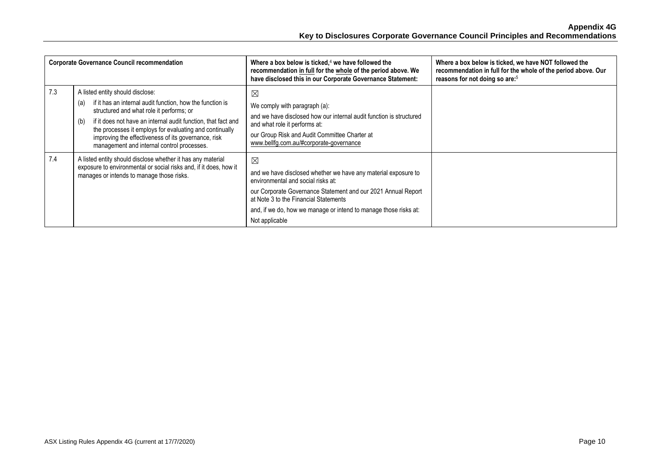|     | <b>Corporate Governance Council recommendation</b>                                                                                                                                                                                                                                                                                                                                       | Where a box below is ticked, $4$ we have followed the<br>recommendation in full for the whole of the period above. We<br>have disclosed this in our Corporate Governance Statement:                                                                                                                                 | Where a box below is ticked, we have NOT followed the<br>recommendation in full for the whole of the period above. Our<br>reasons for not doing so are: <sup>5</sup> |
|-----|------------------------------------------------------------------------------------------------------------------------------------------------------------------------------------------------------------------------------------------------------------------------------------------------------------------------------------------------------------------------------------------|---------------------------------------------------------------------------------------------------------------------------------------------------------------------------------------------------------------------------------------------------------------------------------------------------------------------|----------------------------------------------------------------------------------------------------------------------------------------------------------------------|
| 7.3 | A listed entity should disclose:<br>if it has an internal audit function, how the function is<br>(a)<br>structured and what role it performs; or<br>if it does not have an internal audit function, that fact and<br>(b)<br>the processes it employs for evaluating and continually<br>improving the effectiveness of its governance, risk<br>management and internal control processes. | $\boxtimes$<br>We comply with paragraph (a):<br>and we have disclosed how our internal audit function is structured<br>and what role it performs at:<br>our Group Risk and Audit Committee Charter at<br>www.bellfg.com.au/#corporate-governance                                                                    |                                                                                                                                                                      |
| 7.4 | A listed entity should disclose whether it has any material<br>exposure to environmental or social risks and, if it does, how it<br>manages or intends to manage those risks.                                                                                                                                                                                                            | $\boxtimes$<br>and we have disclosed whether we have any material exposure to<br>environmental and social risks at:<br>our Corporate Governance Statement and our 2021 Annual Report<br>at Note 3 to the Financial Statements<br>and, if we do, how we manage or intend to manage those risks at:<br>Not applicable |                                                                                                                                                                      |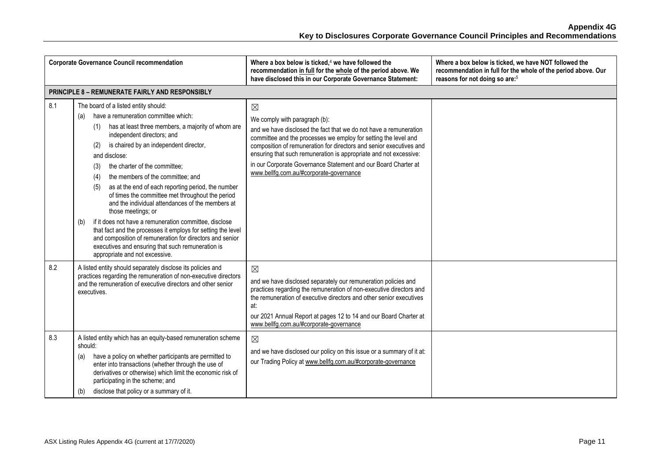| <b>Corporate Governance Council recommendation</b>     |                                                                                                                                                                                                                                                                                                                                                                                                                                                                                                                                                                                                                                                                                                                                                                                                                     | Where a box below is ticked, $4$ we have followed the<br>recommendation in full for the whole of the period above. We<br>have disclosed this in our Corporate Governance Statement:                                                                                                                                                                                                                                                           | Where a box below is ticked, we have NOT followed the<br>recommendation in full for the whole of the period above. Our<br>reasons for not doing so are: <sup>5</sup> |  |
|--------------------------------------------------------|---------------------------------------------------------------------------------------------------------------------------------------------------------------------------------------------------------------------------------------------------------------------------------------------------------------------------------------------------------------------------------------------------------------------------------------------------------------------------------------------------------------------------------------------------------------------------------------------------------------------------------------------------------------------------------------------------------------------------------------------------------------------------------------------------------------------|-----------------------------------------------------------------------------------------------------------------------------------------------------------------------------------------------------------------------------------------------------------------------------------------------------------------------------------------------------------------------------------------------------------------------------------------------|----------------------------------------------------------------------------------------------------------------------------------------------------------------------|--|
| <b>PRINCIPLE 8 - REMUNERATE FAIRLY AND RESPONSIBLY</b> |                                                                                                                                                                                                                                                                                                                                                                                                                                                                                                                                                                                                                                                                                                                                                                                                                     |                                                                                                                                                                                                                                                                                                                                                                                                                                               |                                                                                                                                                                      |  |
| 8.1                                                    | The board of a listed entity should:<br>have a remuneration committee which:<br>(a)<br>has at least three members, a majority of whom are<br>(1)<br>independent directors; and<br>is chaired by an independent director,<br>(2)<br>and disclose:<br>the charter of the committee;<br>(3)<br>the members of the committee; and<br>(4)<br>as at the end of each reporting period, the number<br>(5)<br>of times the committee met throughout the period<br>and the individual attendances of the members at<br>those meetings; or<br>if it does not have a remuneration committee, disclose<br>(b)<br>that fact and the processes it employs for setting the level<br>and composition of remuneration for directors and senior<br>executives and ensuring that such remuneration is<br>appropriate and not excessive. | $\boxtimes$<br>We comply with paragraph (b):<br>and we have disclosed the fact that we do not have a remuneration<br>committee and the processes we employ for setting the level and<br>composition of remuneration for directors and senior executives and<br>ensuring that such remuneration is appropriate and not excessive:<br>in our Corporate Governance Statement and our Board Charter at<br>www.bellfq.com.au/#corporate-governance |                                                                                                                                                                      |  |
| 8.2                                                    | A listed entity should separately disclose its policies and<br>practices regarding the remuneration of non-executive directors<br>and the remuneration of executive directors and other senior<br>executives.                                                                                                                                                                                                                                                                                                                                                                                                                                                                                                                                                                                                       | $\boxtimes$<br>and we have disclosed separately our remuneration policies and<br>practices regarding the remuneration of non-executive directors and<br>the remuneration of executive directors and other senior executives<br>at:<br>our 2021 Annual Report at pages 12 to 14 and our Board Charter at<br>www.bellfg.com.au/#corporate-governance                                                                                            |                                                                                                                                                                      |  |
| 8.3                                                    | A listed entity which has an equity-based remuneration scheme<br>should:<br>have a policy on whether participants are permitted to<br>(a)<br>enter into transactions (whether through the use of<br>derivatives or otherwise) which limit the economic risk of<br>participating in the scheme; and<br>disclose that policy or a summary of it.<br>(b)                                                                                                                                                                                                                                                                                                                                                                                                                                                               | $\boxtimes$<br>and we have disclosed our policy on this issue or a summary of it at:<br>our Trading Policy at www.bellfg.com.au/#corporate-governance                                                                                                                                                                                                                                                                                         |                                                                                                                                                                      |  |